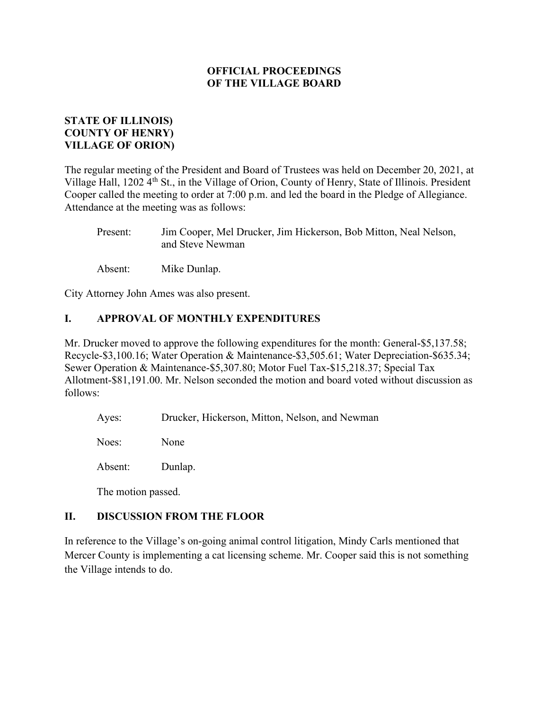## STATE OF ILLINOIS) COUNTY OF HENRY) VILLAGE OF ORION)

The regular meeting of the President and Board of Trustees was held on December 20, 2021, at Village Hall, 1202 4<sup>th</sup> St., in the Village of Orion, County of Henry, State of Illinois. President Cooper called the meeting to order at 7:00 p.m. and led the board in the Pledge of Allegiance. Attendance at the meeting was as follows:

 Present: Jim Cooper, Mel Drucker, Jim Hickerson, Bob Mitton, Neal Nelson, and Steve Newman

Absent: Mike Dunlap.

City Attorney John Ames was also present.

## I. APPROVAL OF MONTHLY EXPENDITURES

Mr. Drucker moved to approve the following expenditures for the month: General-\$5,137.58; Recycle-\$3,100.16; Water Operation & Maintenance-\$3,505.61; Water Depreciation-\$635.34; Sewer Operation & Maintenance-\$5,307.80; Motor Fuel Tax-\$15,218.37; Special Tax Allotment-\$81,191.00. Mr. Nelson seconded the motion and board voted without discussion as follows:

Ayes: Drucker, Hickerson, Mitton, Nelson, and Newman

Noes: None

Absent: Dunlap.

The motion passed.

### II. DISCUSSION FROM THE FLOOR

In reference to the Village's on-going animal control litigation, Mindy Carls mentioned that Mercer County is implementing a cat licensing scheme. Mr. Cooper said this is not something the Village intends to do.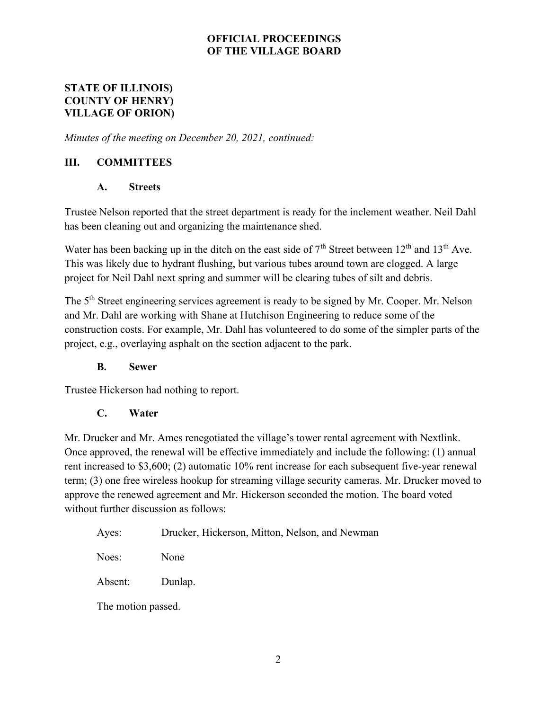## STATE OF ILLINOIS) COUNTY OF HENRY) VILLAGE OF ORION)

Minutes of the meeting on December 20, 2021, continued:

# III. COMMITTEES

### A. Streets

Trustee Nelson reported that the street department is ready for the inclement weather. Neil Dahl has been cleaning out and organizing the maintenance shed.

Water has been backing up in the ditch on the east side of  $7<sup>th</sup>$  Street between  $12<sup>th</sup>$  and  $13<sup>th</sup>$  Ave. This was likely due to hydrant flushing, but various tubes around town are clogged. A large project for Neil Dahl next spring and summer will be clearing tubes of silt and debris.

The 5<sup>th</sup> Street engineering services agreement is ready to be signed by Mr. Cooper. Mr. Nelson and Mr. Dahl are working with Shane at Hutchison Engineering to reduce some of the construction costs. For example, Mr. Dahl has volunteered to do some of the simpler parts of the project, e.g., overlaying asphalt on the section adjacent to the park.

### B. Sewer

Trustee Hickerson had nothing to report.

### C. Water

Mr. Drucker and Mr. Ames renegotiated the village's tower rental agreement with Nextlink. Once approved, the renewal will be effective immediately and include the following: (1) annual rent increased to \$3,600; (2) automatic 10% rent increase for each subsequent five-year renewal term; (3) one free wireless hookup for streaming village security cameras. Mr. Drucker moved to approve the renewed agreement and Mr. Hickerson seconded the motion. The board voted without further discussion as follows:

Noes: None

Absent: Dunlap.

The motion passed.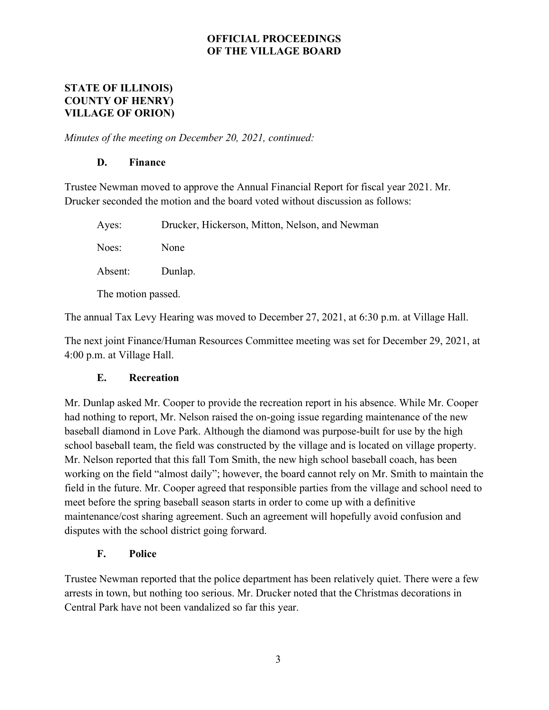### STATE OF ILLINOIS) COUNTY OF HENRY) VILLAGE OF ORION)

Minutes of the meeting on December 20, 2021, continued:

## D. Finance

Trustee Newman moved to approve the Annual Financial Report for fiscal year 2021. Mr. Drucker seconded the motion and the board voted without discussion as follows:

| Ayes:              | Drucker, Hickerson, Mitton, Nelson, and Newman |
|--------------------|------------------------------------------------|
| Noes:              | None                                           |
| Absent:            | Dunlap.                                        |
| The motion passed. |                                                |

The annual Tax Levy Hearing was moved to December 27, 2021, at 6:30 p.m. at Village Hall.

The next joint Finance/Human Resources Committee meeting was set for December 29, 2021, at 4:00 p.m. at Village Hall.

# E. Recreation

Mr. Dunlap asked Mr. Cooper to provide the recreation report in his absence. While Mr. Cooper had nothing to report, Mr. Nelson raised the on-going issue regarding maintenance of the new baseball diamond in Love Park. Although the diamond was purpose-built for use by the high school baseball team, the field was constructed by the village and is located on village property. Mr. Nelson reported that this fall Tom Smith, the new high school baseball coach, has been working on the field "almost daily"; however, the board cannot rely on Mr. Smith to maintain the field in the future. Mr. Cooper agreed that responsible parties from the village and school need to meet before the spring baseball season starts in order to come up with a definitive maintenance/cost sharing agreement. Such an agreement will hopefully avoid confusion and disputes with the school district going forward.

### F. Police

Trustee Newman reported that the police department has been relatively quiet. There were a few arrests in town, but nothing too serious. Mr. Drucker noted that the Christmas decorations in Central Park have not been vandalized so far this year.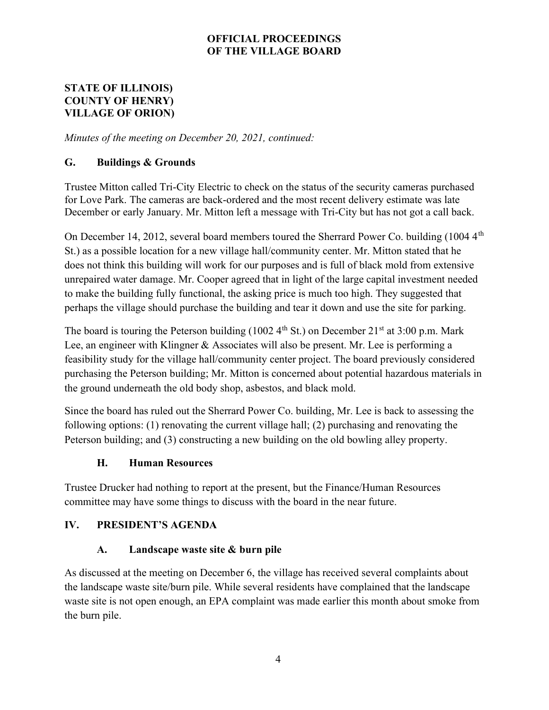## STATE OF ILLINOIS) COUNTY OF HENRY) VILLAGE OF ORION)

Minutes of the meeting on December 20, 2021, continued:

## G. Buildings & Grounds

Trustee Mitton called Tri-City Electric to check on the status of the security cameras purchased for Love Park. The cameras are back-ordered and the most recent delivery estimate was late December or early January. Mr. Mitton left a message with Tri-City but has not got a call back.

On December 14, 2012, several board members toured the Sherrard Power Co. building  $(1004.4<sup>th</sup>)$ St.) as a possible location for a new village hall/community center. Mr. Mitton stated that he does not think this building will work for our purposes and is full of black mold from extensive unrepaired water damage. Mr. Cooper agreed that in light of the large capital investment needed to make the building fully functional, the asking price is much too high. They suggested that perhaps the village should purchase the building and tear it down and use the site for parking.

The board is touring the Peterson building (1002  $4<sup>th</sup>$  St.) on December 21<sup>st</sup> at 3:00 p.m. Mark Lee, an engineer with Klingner & Associates will also be present. Mr. Lee is performing a feasibility study for the village hall/community center project. The board previously considered purchasing the Peterson building; Mr. Mitton is concerned about potential hazardous materials in the ground underneath the old body shop, asbestos, and black mold.

Since the board has ruled out the Sherrard Power Co. building, Mr. Lee is back to assessing the following options: (1) renovating the current village hall; (2) purchasing and renovating the Peterson building; and (3) constructing a new building on the old bowling alley property.

### H. Human Resources

Trustee Drucker had nothing to report at the present, but the Finance/Human Resources committee may have some things to discuss with the board in the near future.

# IV. PRESIDENT'S AGENDA

### A. Landscape waste site & burn pile

As discussed at the meeting on December 6, the village has received several complaints about the landscape waste site/burn pile. While several residents have complained that the landscape waste site is not open enough, an EPA complaint was made earlier this month about smoke from the burn pile.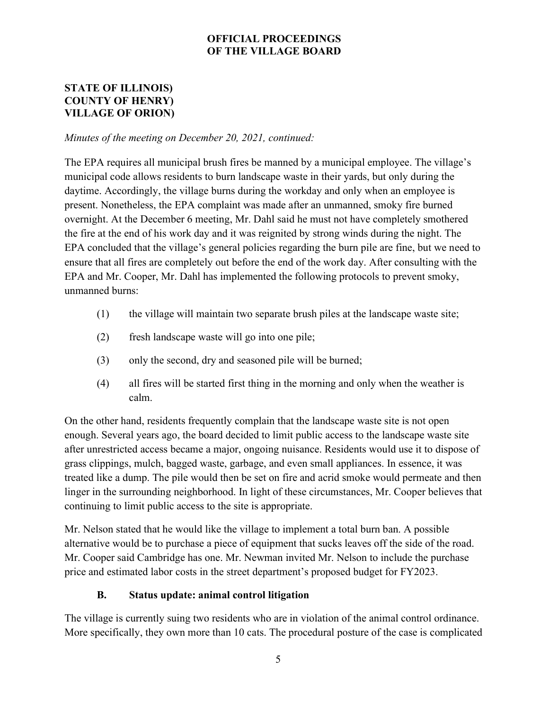## STATE OF ILLINOIS) COUNTY OF HENRY) VILLAGE OF ORION)

### Minutes of the meeting on December 20, 2021, continued:

The EPA requires all municipal brush fires be manned by a municipal employee. The village's municipal code allows residents to burn landscape waste in their yards, but only during the daytime. Accordingly, the village burns during the workday and only when an employee is present. Nonetheless, the EPA complaint was made after an unmanned, smoky fire burned overnight. At the December 6 meeting, Mr. Dahl said he must not have completely smothered the fire at the end of his work day and it was reignited by strong winds during the night. The EPA concluded that the village's general policies regarding the burn pile are fine, but we need to ensure that all fires are completely out before the end of the work day. After consulting with the EPA and Mr. Cooper, Mr. Dahl has implemented the following protocols to prevent smoky, unmanned burns:

- (1) the village will maintain two separate brush piles at the landscape waste site;
- (2) fresh landscape waste will go into one pile;
- (3) only the second, dry and seasoned pile will be burned;
- (4) all fires will be started first thing in the morning and only when the weather is calm.

On the other hand, residents frequently complain that the landscape waste site is not open enough. Several years ago, the board decided to limit public access to the landscape waste site after unrestricted access became a major, ongoing nuisance. Residents would use it to dispose of grass clippings, mulch, bagged waste, garbage, and even small appliances. In essence, it was treated like a dump. The pile would then be set on fire and acrid smoke would permeate and then linger in the surrounding neighborhood. In light of these circumstances, Mr. Cooper believes that continuing to limit public access to the site is appropriate.

Mr. Nelson stated that he would like the village to implement a total burn ban. A possible alternative would be to purchase a piece of equipment that sucks leaves off the side of the road. Mr. Cooper said Cambridge has one. Mr. Newman invited Mr. Nelson to include the purchase price and estimated labor costs in the street department's proposed budget for FY2023.

### B. Status update: animal control litigation

The village is currently suing two residents who are in violation of the animal control ordinance. More specifically, they own more than 10 cats. The procedural posture of the case is complicated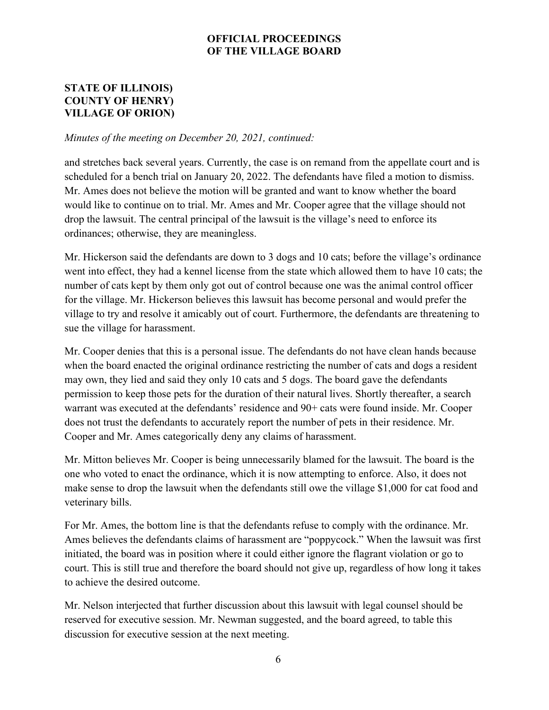## STATE OF ILLINOIS) COUNTY OF HENRY) VILLAGE OF ORION)

#### Minutes of the meeting on December 20, 2021, continued:

and stretches back several years. Currently, the case is on remand from the appellate court and is scheduled for a bench trial on January 20, 2022. The defendants have filed a motion to dismiss. Mr. Ames does not believe the motion will be granted and want to know whether the board would like to continue on to trial. Mr. Ames and Mr. Cooper agree that the village should not drop the lawsuit. The central principal of the lawsuit is the village's need to enforce its ordinances; otherwise, they are meaningless.

Mr. Hickerson said the defendants are down to 3 dogs and 10 cats; before the village's ordinance went into effect, they had a kennel license from the state which allowed them to have 10 cats; the number of cats kept by them only got out of control because one was the animal control officer for the village. Mr. Hickerson believes this lawsuit has become personal and would prefer the village to try and resolve it amicably out of court. Furthermore, the defendants are threatening to sue the village for harassment.

Mr. Cooper denies that this is a personal issue. The defendants do not have clean hands because when the board enacted the original ordinance restricting the number of cats and dogs a resident may own, they lied and said they only 10 cats and 5 dogs. The board gave the defendants permission to keep those pets for the duration of their natural lives. Shortly thereafter, a search warrant was executed at the defendants' residence and 90+ cats were found inside. Mr. Cooper does not trust the defendants to accurately report the number of pets in their residence. Mr. Cooper and Mr. Ames categorically deny any claims of harassment.

Mr. Mitton believes Mr. Cooper is being unnecessarily blamed for the lawsuit. The board is the one who voted to enact the ordinance, which it is now attempting to enforce. Also, it does not make sense to drop the lawsuit when the defendants still owe the village \$1,000 for cat food and veterinary bills.

For Mr. Ames, the bottom line is that the defendants refuse to comply with the ordinance. Mr. Ames believes the defendants claims of harassment are "poppycock." When the lawsuit was first initiated, the board was in position where it could either ignore the flagrant violation or go to court. This is still true and therefore the board should not give up, regardless of how long it takes to achieve the desired outcome.

Mr. Nelson interjected that further discussion about this lawsuit with legal counsel should be reserved for executive session. Mr. Newman suggested, and the board agreed, to table this discussion for executive session at the next meeting.